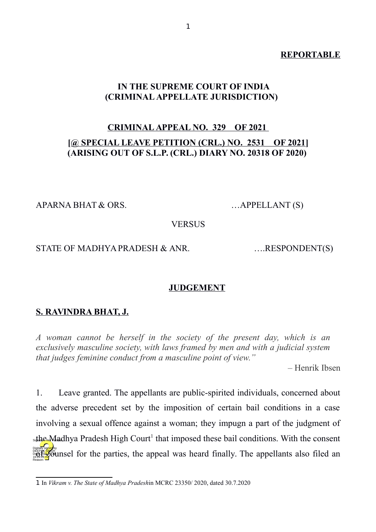#### **REPORTABLE**

## **IN THE SUPREME COURT OF INDIA (CRIMINAL APPELLATE JURISDICTION)**

# **CRIMINAL APPEAL NO. 329 OF 2021 [@ SPECIAL LEAVE PETITION (CRL.) NO. 2531 OF 2021] (ARISING OUT OF S.L.P. (CRL.) DIARY NO. 20318 OF 2020)**

APARNA BHAT & ORS. …APPELLANT (S)

**VERSUS** 

#### STATE OF MADHYA PRADESH & ANR. .....RESPONDENT(S)

#### **JUDGEMENT**

## **S. RAVINDRA BHAT, J.**

*A woman cannot be herself in the society of the present day, which is an exclusively masculine society, with laws framed by men and with a judicial system that judges feminine conduct from a masculine point of view."*

– Henrik Ibsen

1. Leave granted. The appellants are public-spirited individuals, concerned about the adverse precedent set by the imposition of certain bail conditions in a case involving a sexual offence against a woman; they impugn a part of the judgment of sthe Madhya Pradesh High Court<sup>[1](#page-0-0)</sup> that imposed these bail conditions. With the consent **DEERAL SINGHRAN**<br>PRESENTED FOR THE PARTIES, the appeal was heard finally. The appellants also filed an Reason:

<span id="page-0-0"></span><sup>1</sup> In *Vikram v. The State of Madhya Pradesh*in MCRC 23350/ 2020, dated 30.7.2020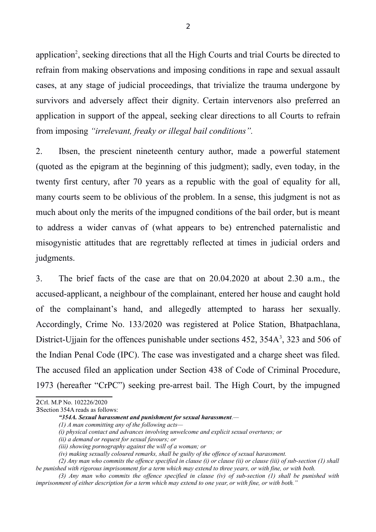application<sup>[2](#page-1-0)</sup>, seeking directions that all the High Courts and trial Courts be directed to refrain from making observations and imposing conditions in rape and sexual assault cases, at any stage of judicial proceedings, that trivialize the trauma undergone by survivors and adversely affect their dignity. Certain intervenors also preferred an application in support of the appeal, seeking clear directions to all Courts to refrain from imposing *"irrelevant, freaky or illegal bail conditions".* 

2. Ibsen, the prescient nineteenth century author, made a powerful statement (quoted as the epigram at the beginning of this judgment); sadly, even today, in the twenty first century, after 70 years as a republic with the goal of equality for all, many courts seem to be oblivious of the problem. In a sense, this judgment is not as much about only the merits of the impugned conditions of the bail order, but is meant to address a wider canvas of (what appears to be) entrenched paternalistic and misogynistic attitudes that are regrettably reflected at times in judicial orders and judgments.

3. The brief facts of the case are that on 20.04.2020 at about 2.30 a.m., the accused-applicant, a neighbour of the complainant, entered her house and caught hold of the complainant's hand, and allegedly attempted to harass her sexually. Accordingly, Crime No. 133/2020 was registered at Police Station, Bhatpachlana, District-Ujjain for the offences punishable under sections 452, [3](#page-1-1)54A<sup>3</sup>, 323 and 506 of the Indian Penal Code (IPC). The case was investigated and a charge sheet was filed. The accused filed an application under Section 438 of Code of Criminal Procedure, 1973 (hereafter "CrPC") seeking pre-arrest bail. The High Court, by the impugned

<span id="page-1-1"></span>3Section 354A reads as follows:

<span id="page-1-0"></span><sup>2</sup>Crl. M.P No. 102226/2020

*<sup>&</sup>quot;354A. Sexual harassment and punishment for sexual harassment.—*

*<sup>(1)</sup> A man committing any of the following acts—* 

*<sup>(</sup>i) physical contact and advances involving unwelcome and explicit sexual overtures; or* 

*<sup>(</sup>ii) a demand or request for sexual favours; or* 

*<sup>(</sup>iii) showing pornography against the will of a woman; or* 

*<sup>(</sup>iv) making sexually coloured remarks, shall be guilty of the offence of sexual harassment.* 

*<sup>(2)</sup> Any man who commits the offence specified in clause (i) or clause (ii) or clause (iii) of sub-section (1) shall be punished with rigorous imprisonment for a term which may extend to three years, or with fine, or with both.* 

*<sup>(3)</sup> Any man who commits the offence specified in clause (iv) of sub-section (1) shall be punished with imprisonment of either description for a term which may extend to one year, or with fine, or with both."*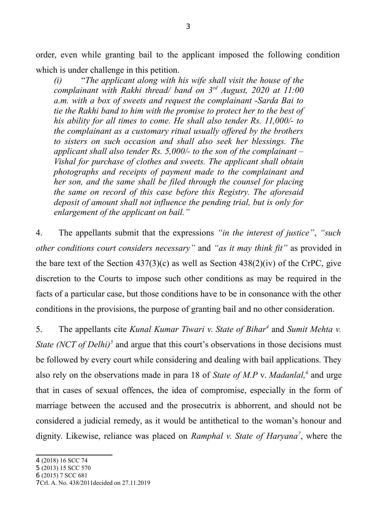order, even while granting bail to the applicant imposed the following condition which is under challenge in this petition.

*(i)* "*The applicant along with his wife shall visit the house of the complainant with Rakhi thread/ band on 3rd August, 2020 at 11:00 a.m. with a box of sweets and request the complainant -Sarda Bai to tie the Rakhi band to him with the promise to protect her to the best of his ability for all times to come. He shall also tender Rs. 11,000/- to the complainant as a customary ritual usually offered by the brothers to sisters on such occasion and shall also seek her blessings. The applicant shall also tender Rs. 5,000/- to the son of the complainant – Vishal for purchase of clothes and sweets. The applicant shall obtain photographs and receipts of payment made to the complainant and her son, and the same shall be filed through the counsel for placing the same on record of this case before this Registry. The aforesaid deposit of amount shall not influence the pending trial, but is only for enlargement of the applicant on bail."*

4. The appellants submit that the expressions *"in the interest of justice"*, *"such other conditions court considers necessary"* and *"as it may think fit"* as provided in the bare text of the Section  $437(3)(c)$  as well as Section  $438(2)(iv)$  of the CrPC, give discretion to the Courts to impose such other conditions as may be required in the facts of a particular case, but those conditions have to be in consonance with the other conditions in the provisions, the purpose of granting bail and no other consideration.

5. The appellants cite *Kunal Kumar Tiwari v. State of Bihar[4](#page-2-0)* and *Sumit Mehta v. State (NCT of Delhi)<sup>[5](#page-2-1)</sup>* and argue that this court's observations in those decisions must be followed by every court while considering and dealing with bail applications. They also rely on the observations made in para 18 of *State of M.P* v. *Madanlal,[6](#page-2-2)* and urge that in cases of sexual offences, the idea of compromise, especially in the form of marriage between the accused and the prosecutrix is abhorrent, and should not be considered a judicial remedy, as it would be antithetical to the woman's honour and dignity. Likewise, reliance was placed on *Ramphal v. State of Haryana[7](#page-2-3)* , where the

- <span id="page-2-1"></span>5 (2013) 15 SCC 570
- <span id="page-2-2"></span>6 (2015) 7 SCC 681

<span id="page-2-0"></span><sup>4</sup> (2018) 16 SCC 74

<span id="page-2-3"></span><sup>7</sup>Crl. A. No. 438/2011decided on 27.11.2019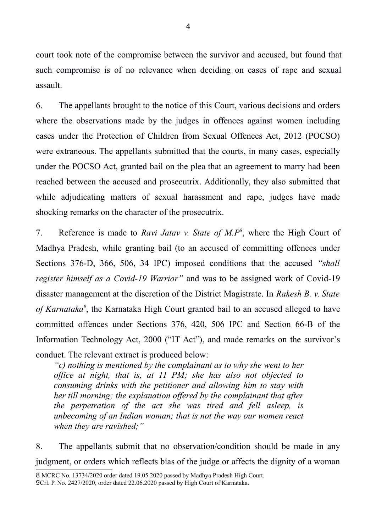court took note of the compromise between the survivor and accused, but found that such compromise is of no relevance when deciding on cases of rape and sexual assault.

6. The appellants brought to the notice of this Court, various decisions and orders where the observations made by the judges in offences against women including cases under the Protection of Children from Sexual Offences Act, 2012 (POCSO) were extraneous. The appellants submitted that the courts, in many cases, especially under the POCSO Act, granted bail on the plea that an agreement to marry had been reached between the accused and prosecutrix. Additionally, they also submitted that while adjudicating matters of sexual harassment and rape, judges have made shocking remarks on the character of the prosecutrix.

7. Reference is made to *Ravi Jatav v. State of M.P[8](#page-3-0)* , where the High Court of Madhya Pradesh, while granting bail (to an accused of committing offences under Sections 376-D, 366, 506, 34 IPC) imposed conditions that the accused *"shall register himself as a Covid-19 Warrior"* and was to be assigned work of Covid-19 disaster management at the discretion of the District Magistrate. In *Rakesh B. v. State of Karnataka[9](#page-3-1)* , the Karnataka High Court granted bail to an accused alleged to have committed offences under Sections 376, 420, 506 IPC and Section 66-B of the Information Technology Act, 2000 ("IT Act"), and made remarks on the survivor's conduct. The relevant extract is produced below:

*"c) nothing is mentioned by the complainant as to why she went to her office at night, that is, at 11 PM; she has also not objected to consuming drinks with the petitioner and allowing him to stay with her till morning; the explanation offered by the complainant that after the perpetration of the act she was tired and fell asleep, is unbecoming of an Indian woman; that is not the way our women react when they are ravished;"*

8. The appellants submit that no observation/condition should be made in any judgment, or orders which reflects bias of the judge or affects the dignity of a woman

<span id="page-3-1"></span><span id="page-3-0"></span><sup>8</sup> MCRC No. 13734/2020 order dated 19.05.2020 passed by Madhya Pradesh High Court. 9Crl. P. No. 2427/2020, order dated 22.06.2020 passed by High Court of Karnataka.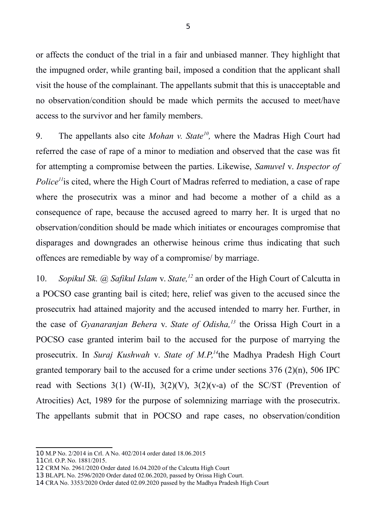or affects the conduct of the trial in a fair and unbiased manner. They highlight that the impugned order, while granting bail, imposed a condition that the applicant shall visit the house of the complainant. The appellants submit that this is unacceptable and no observation/condition should be made which permits the accused to meet/have access to the survivor and her family members.

9. The appellants also cite *Mohan v. State<sup>[10](#page-4-0)</sup>*, where the Madras High Court had referred the case of rape of a minor to mediation and observed that the case was fit for attempting a compromise between the parties. Likewise, *Samuvel* v. *Inspector of Police*<sup>*[11](#page-4-1)*</sup> is cited, where the High Court of Madras referred to mediation, a case of rape where the prosecutrix was a minor and had become a mother of a child as a consequence of rape, because the accused agreed to marry her. It is urged that no observation/condition should be made which initiates or encourages compromise that disparages and downgrades an otherwise heinous crime thus indicating that such offences are remediable by way of a compromise/ by marriage.

10. *Sopikul Sk. @ Safikul Islam* v. *State,[12](#page-4-2)* an order of the High Court of Calcutta in a POCSO case granting bail is cited; here, relief was given to the accused since the prosecutrix had attained majority and the accused intended to marry her. Further, in the case of *Gyanaranjan Behera* v. *State of Odisha,[13](#page-4-3)* the Orissa High Court in a POCSO case granted interim bail to the accused for the purpose of marrying the prosecutrix. In *Suraj Kushwah* v. *State of M.P,[14](#page-4-4)*the Madhya Pradesh High Court granted temporary bail to the accused for a crime under sections 376 (2)(n), 506 IPC read with Sections 3(1) (W-II),  $3(2)(V)$ ,  $3(2)(v-a)$  of the SC/ST (Prevention of Atrocities) Act, 1989 for the purpose of solemnizing marriage with the prosecutrix. The appellants submit that in POCSO and rape cases, no observation/condition

<span id="page-4-0"></span><sup>10</sup> M.P No. 2/2014 in Crl. A No. 402/2014 order dated 18.06.2015

<span id="page-4-1"></span><sup>11</sup>Crl. O.P. No. 1881/2015.

<span id="page-4-2"></span><sup>12</sup> CRM No. 2961/2020 Order dated 16.04.2020 of the Calcutta High Court

<span id="page-4-3"></span><sup>13</sup> BLAPL No. 2596/2020 Order dated 02.06.2020, passed by Orissa High Court.

<span id="page-4-4"></span><sup>14</sup> CRA No. 3353/2020 Order dated 02.09.2020 passed by the Madhya Pradesh High Court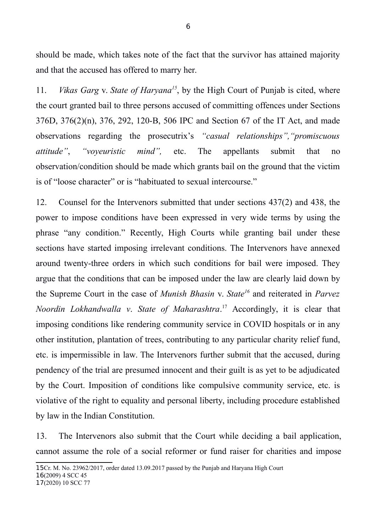should be made, which takes note of the fact that the survivor has attained majority and that the accused has offered to marry her.

11. *Vikas Garg* v. *State of Haryana[15](#page-5-0)*, by the High Court of Punjab is cited, where the court granted bail to three persons accused of committing offences under Sections 376D, 376(2)(n), 376, 292, 120-B, 506 IPC and Section 67 of the IT Act, and made observations regarding the prosecutrix's *"casual relationships","promiscuous attitude"*, *"voyeuristic mind",* etc. The appellants submit that no observation/condition should be made which grants bail on the ground that the victim is of "loose character" or is "habituated to sexual intercourse."

12. Counsel for the Intervenors submitted that under sections 437(2) and 438, the power to impose conditions have been expressed in very wide terms by using the phrase "any condition." Recently, High Courts while granting bail under these sections have started imposing irrelevant conditions. The Intervenors have annexed around twenty-three orders in which such conditions for bail were imposed. They argue that the conditions that can be imposed under the law are clearly laid down by the Supreme Court in the case of *Munish Bhasin* v. *State[16](#page-5-1)* and reiterated in *Parvez Noordin Lokhandwalla v*. *State of Maharashtra*. [17](#page-5-2) Accordingly, it is clear that imposing conditions like rendering community service in COVID hospitals or in any other institution, plantation of trees, contributing to any particular charity relief fund, etc. is impermissible in law. The Intervenors further submit that the accused, during pendency of the trial are presumed innocent and their guilt is as yet to be adjudicated by the Court. Imposition of conditions like compulsive community service, etc. is violative of the right to equality and personal liberty, including procedure established by law in the Indian Constitution.

13. The Intervenors also submit that the Court while deciding a bail application, cannot assume the role of a social reformer or fund raiser for charities and impose

<span id="page-5-1"></span>16(2009) 4 SCC 45

<span id="page-5-2"></span>17(2020) 10 SCC 77

<span id="page-5-0"></span><sup>15</sup>Cr. M. No. 23962/2017, order dated 13.09.2017 passed by the Punjab and Haryana High Court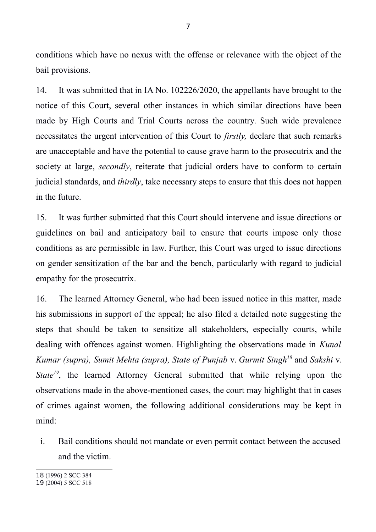conditions which have no nexus with the offense or relevance with the object of the bail provisions.

14. It was submitted that in IA No. 102226/2020, the appellants have brought to the notice of this Court, several other instances in which similar directions have been made by High Courts and Trial Courts across the country. Such wide prevalence necessitates the urgent intervention of this Court to *firstly,* declare that such remarks are unacceptable and have the potential to cause grave harm to the prosecutrix and the society at large, *secondly*, reiterate that judicial orders have to conform to certain judicial standards, and *thirdly*, take necessary steps to ensure that this does not happen in the future.

15. It was further submitted that this Court should intervene and issue directions or guidelines on bail and anticipatory bail to ensure that courts impose only those conditions as are permissible in law. Further, this Court was urged to issue directions on gender sensitization of the bar and the bench, particularly with regard to judicial empathy for the prosecutrix.

16. The learned Attorney General, who had been issued notice in this matter, made his submissions in support of the appeal; he also filed a detailed note suggesting the steps that should be taken to sensitize all stakeholders, especially courts, while dealing with offences against women. Highlighting the observations made in *Kunal Kumar (supra), Sumit Mehta (supra), State of Punjab* v. *Gurmit Singh[18](#page-6-0)* and *Sakshi* v. *State<sup>[19](#page-6-1)</sup>*, the learned Attorney General submitted that while relying upon the observations made in the above-mentioned cases, the court may highlight that in cases of crimes against women, the following additional considerations may be kept in mind:

i. Bail conditions should not mandate or even permit contact between the accused and the victim.

<span id="page-6-0"></span>18 (1996) 2 SCC 384

<span id="page-6-1"></span><sup>19</sup> (2004) 5 SCC 518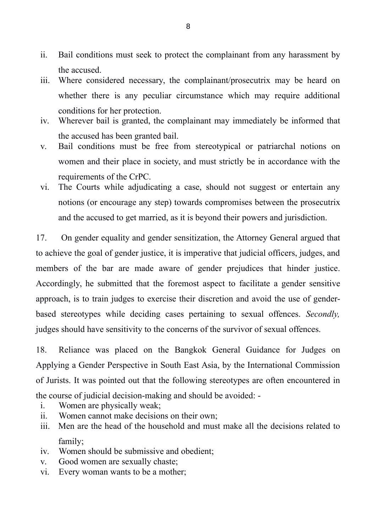- ii. Bail conditions must seek to protect the complainant from any harassment by the accused.
- iii. Where considered necessary, the complainant/prosecutrix may be heard on whether there is any peculiar circumstance which may require additional conditions for her protection.
- iv. Wherever bail is granted, the complainant may immediately be informed that the accused has been granted bail.
- v. Bail conditions must be free from stereotypical or patriarchal notions on women and their place in society, and must strictly be in accordance with the requirements of the CrPC.
- vi. The Courts while adjudicating a case, should not suggest or entertain any notions (or encourage any step) towards compromises between the prosecutrix and the accused to get married, as it is beyond their powers and jurisdiction.

17. On gender equality and gender sensitization, the Attorney General argued that to achieve the goal of gender justice, it is imperative that judicial officers, judges, and members of the bar are made aware of gender prejudices that hinder justice. Accordingly, he submitted that the foremost aspect to facilitate a gender sensitive approach, is to train judges to exercise their discretion and avoid the use of genderbased stereotypes while deciding cases pertaining to sexual offences. *Secondly,* judges should have sensitivity to the concerns of the survivor of sexual offences.

18. Reliance was placed on the Bangkok General Guidance for Judges on Applying a Gender Perspective in South East Asia, by the International Commission of Jurists. It was pointed out that the following stereotypes are often encountered in the course of judicial decision-making and should be avoided: -

- i. Women are physically weak;
- ii. Women cannot make decisions on their own;
- iii. Men are the head of the household and must make all the decisions related to family;
- iv. Women should be submissive and obedient;
- v. Good women are sexually chaste;
- vi. Every woman wants to be a mother;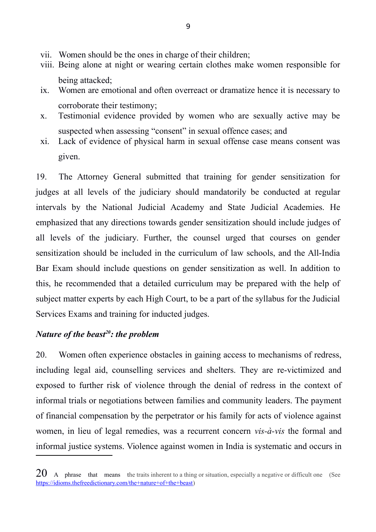- vii. Women should be the ones in charge of their children;
- viii. Being alone at night or wearing certain clothes make women responsible for being attacked;
- ix. Women are emotional and often overreact or dramatize hence it is necessary to corroborate their testimony;
- x. Testimonial evidence provided by women who are sexually active may be suspected when assessing "consent" in sexual offence cases; and
- xi. Lack of evidence of physical harm in sexual offense case means consent was given.

19. The Attorney General submitted that training for gender sensitization for judges at all levels of the judiciary should mandatorily be conducted at regular intervals by the National Judicial Academy and State Judicial Academies. He emphasized that any directions towards gender sensitization should include judges of all levels of the judiciary. Further, the counsel urged that courses on gender sensitization should be included in the curriculum of law schools, and the All-India Bar Exam should include questions on gender sensitization as well. In addition to this, he recommended that a detailed curriculum may be prepared with the help of subject matter experts by each High Court, to be a part of the syllabus for the Judicial Services Exams and training for inducted judges.

# *Nature of the beast[20](#page-8-0): the problem*

20. Women often experience obstacles in gaining access to mechanisms of redress, including legal aid, counselling services and shelters. They are re-victimized and exposed to further risk of violence through the denial of redress in the context of informal trials or negotiations between families and community leaders. The payment of financial compensation by the perpetrator or his family for acts of violence against women, in lieu of legal remedies, was a recurrent concern *vis-à-vis* the formal and informal justice systems. Violence against women in India is systematic and occurs in

<span id="page-8-0"></span> $20$  A phrase that means the traits inherent to a thing or situation, especially a negative or difficult one (See [https://idioms.thefreedictionary.com/the+nature+of+the+beast\)](https://idioms.thefreedictionary.com/the+nature+of+the+beast)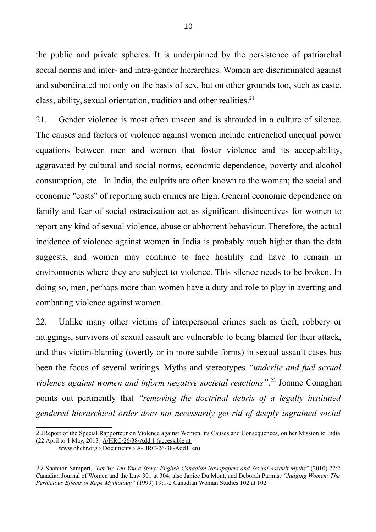the public and private spheres. It is underpinned by the persistence of patriarchal social norms and inter- and intra-gender hierarchies. Women are discriminated against and subordinated not only on the basis of sex, but on other grounds too, such as caste, class, ability, sexual orientation, tradition and other realities. $21$ 

21. Gender violence is most often unseen and is shrouded in a culture of silence. The causes and factors of violence against women include entrenched unequal power equations between men and women that foster violence and its acceptability, aggravated by cultural and social norms, economic dependence, poverty and alcohol consumption, etc. In India, the culprits are often known to the woman; the social and economic "costs" of reporting such crimes are high. General economic dependence on family and fear of social ostracization act as significant disincentives for women to report any kind of sexual violence, abuse or abhorrent behaviour. Therefore, the actual incidence of violence against women in India is probably much higher than the data suggests, and women may continue to face hostility and have to remain in environments where they are subject to violence. This silence needs to be broken. In doing so, men, perhaps more than women have a duty and role to play in averting and combating violence against women.

22. Unlike many other victims of interpersonal crimes such as theft, robbery or muggings, survivors of sexual assault are vulnerable to being blamed for their attack, and thus victim-blaming (overtly or in more subtle forms) in sexual assault cases has been the focus of several writings. Myths and stereotypes *"underlie and fuel sexual violence against women and inform negative societal reactions"*. [22](#page-9-1) Joanne Conaghan points out pertinently that *"removing the doctrinal debris of a legally instituted gendered hierarchical order does not necessarily get rid of deeply ingrained social*

<span id="page-9-0"></span><sup>21</sup>Report of the Special Rapporteur on Violence against Women, its Causes and Consequences, on her Mission to India (22 April to 1 May, 2013) A/HRC/26/38/Add.1 (accessible at

www.ohchr.org › Documents › A-HRC-26-38-Add1\_en)

<span id="page-9-1"></span><sup>22</sup> Shannon Sampert*, "Let Me Tell You a Story: English-Canadian Newspapers and Sexual Assault Myths"* (2010) 22:2 Canadian Journal of Women and the Law 301 at 304; also Janice Du Mont, and Deborah Parmis*; "Judging Women: The Pernicious Effects of Rape Mythology"* (1999) 19:1-2 Canadian Woman Studies 102 at 102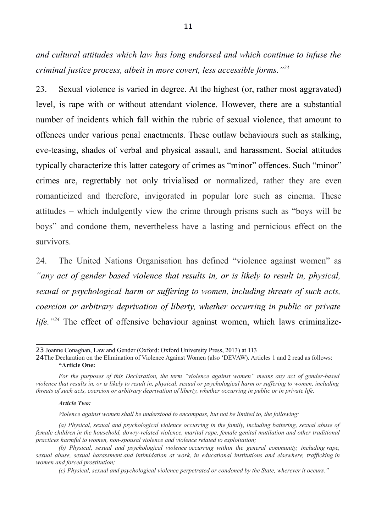*and cultural attitudes which law has long endorsed and which continue to infuse the criminal justice process, albeit in more covert, less accessible forms."[23](#page-10-0)*

23. Sexual violence is varied in degree. At the highest (or, rather most aggravated) level, is rape with or without attendant violence. However, there are a substantial number of incidents which fall within the rubric of sexual violence, that amount to offences under various penal enactments. These outlaw behaviours such as stalking, eve-teasing, shades of verbal and physical assault, and harassment. Social attitudes typically characterize this latter category of crimes as "minor" offences. Such "minor" crimes are, regrettably not only trivialised or normalized, rather they are even romanticized and therefore, invigorated in popular lore such as cinema. These attitudes – which indulgently view the crime through prisms such as "boys will be boys" and condone them, nevertheless have a lasting and pernicious effect on the survivors.

24. The United Nations Organisation has defined "violence against women" as *"any act of gender based violence that results in, or is likely to result in, physical, sexual or psychological harm or suffering to women, including threats of such acts, coercion or arbitrary deprivation of liberty, whether occurring in public or private life."[24](#page-10-1)* The effect of offensive behaviour against women, which laws criminalize-

#### *Article Two:*

*Violence against women shall be understood to encompass, but not be limited to, the following:*

*(a) Physical, sexual and psychological violence occurring in the family, including battering, sexual abuse of female children in the household, dowry-related violence, marital rape, female genital mutilation and other traditional practices harmful to women, non-spousal violence and violence related to exploitation;*

<span id="page-10-0"></span><sup>23</sup> Joanne Conaghan, Law and Gender (Oxford: Oxford University Press, 2013) at 113

<span id="page-10-1"></span><sup>24</sup>The Declaration on the Elimination of Violence Against Women (also 'DEVAW). Articles 1 and 2 read as follows: **"Article One:**

*For the purposes of this Declaration, the term "violence against women" means any act of gender-based violence that results in, or is likely to result in, physical, sexual or psychological harm or suffering to women, including threats of such acts, coercion or arbitrary deprivation of liberty, whether occurring in public or in private life.*

*<sup>(</sup>b) Physical, sexual and psychological violence occurring within the general community, including rape, sexual abuse, sexual harassment and intimidation at work, in educational institutions and elsewhere, trafficking in women and forced prostitution;*

*<sup>(</sup>c) Physical, sexual and psychological violence perpetrated or condoned by the State, wherever it occurs."*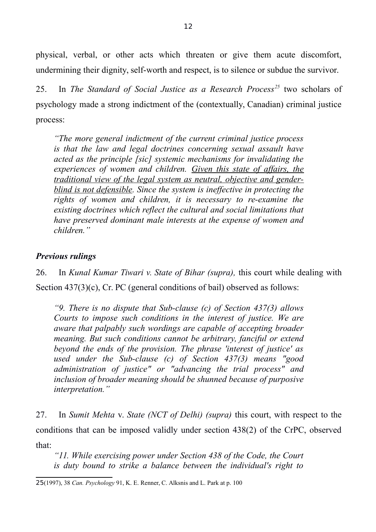physical, verbal, or other acts which threaten or give them acute discomfort, undermining their dignity, self-worth and respect, is to silence or subdue the survivor.

25. In *The Standard of Social Justice as a Research Process[25](#page-11-0)* two scholars of psychology made a strong indictment of the (contextually, Canadian) criminal justice process:

*"The more general indictment of the current criminal justice process is that the law and legal doctrines concerning sexual assault have acted as the principle [sic] systemic mechanisms for invalidating the experiences of women and children. Given this state of affairs, the traditional view of the legal system as neutral, objective and genderblind is not defensible. Since the system is ineffective in protecting the rights of women and children, it is necessary to re-examine the existing doctrines which reflect the cultural and social limitations that have preserved dominant male interests at the expense of women and children."*

### *Previous rulings*

26. In *Kunal Kumar Tiwari v. State of Bihar (supra),* this court while dealing with Section 437(3)(c), Cr. PC (general conditions of bail) observed as follows:

*"9. There is no dispute that Sub-clause (c) of Section 437(3) allows Courts to impose such conditions in the interest of justice. We are aware that palpably such wordings are capable of accepting broader meaning. But such conditions cannot be arbitrary, fanciful or extend beyond the ends of the provision. The phrase 'interest of justice' as used under the Sub-clause (c) of Section 437(3) means "good administration of justice" or "advancing the trial process" and inclusion of broader meaning should be shunned because of purposive interpretation."*

27. In *Sumit Mehta* v. *State (NCT of Delhi) (supra)* this court, with respect to the conditions that can be imposed validly under section 438(2) of the CrPC, observed that:

*"11. While exercising power under Section 438 of the Code, the Court is duty bound to strike a balance between the individual's right to*

<span id="page-11-0"></span><sup>25</sup>(1997), 38 *Can. Psychology* 91, K. E. Renner, C. Alksnis and L. Park at p. 100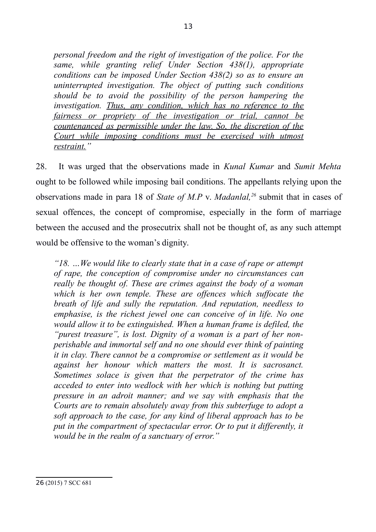*personal freedom and the right of investigation of the police. For the same, while granting relief Under Section 438(1), appropriate conditions can be imposed Under Section 438(2) so as to ensure an uninterrupted investigation. The object of putting such conditions should be to avoid the possibility of the person hampering the investigation. Thus, any condition, which has no reference to the fairness or propriety of the investigation or trial, cannot be countenanced as permissible under the law. So, the discretion of the Court while imposing conditions must be exercised with utmost restraint."*

28. It was urged that the observations made in *Kunal Kumar* and *Sumit Mehta* ought to be followed while imposing bail conditions. The appellants relying upon the observations made in para 18 of *State of M.P* v. *Madanlal,[26](#page-12-0)* submit that in cases of sexual offences, the concept of compromise, especially in the form of marriage between the accused and the prosecutrix shall not be thought of, as any such attempt would be offensive to the woman's dignity.

*"18. …We would like to clearly state that in a case of rape or attempt of rape, the conception of compromise under no circumstances can really be thought of. These are crimes against the body of a woman which is her own temple. These are offences which suffocate the breath of life and sully the reputation. And reputation, needless to emphasise, is the richest jewel one can conceive of in life. No one would allow it to be extinguished. When a human frame is defiled, the "purest treasure", is lost. Dignity of a woman is a part of her nonperishable and immortal self and no one should ever think of painting it in clay. There cannot be a compromise or settlement as it would be against her honour which matters the most. It is sacrosanct. Sometimes solace is given that the perpetrator of the crime has acceded to enter into wedlock with her which is nothing but putting pressure in an adroit manner; and we say with emphasis that the Courts are to remain absolutely away from this subterfuge to adopt a soft approach to the case, for any kind of liberal approach has to be put in the compartment of spectacular error. Or to put it differently, it would be in the realm of a sanctuary of error."*

<span id="page-12-0"></span><sup>26</sup> (2015) 7 SCC 681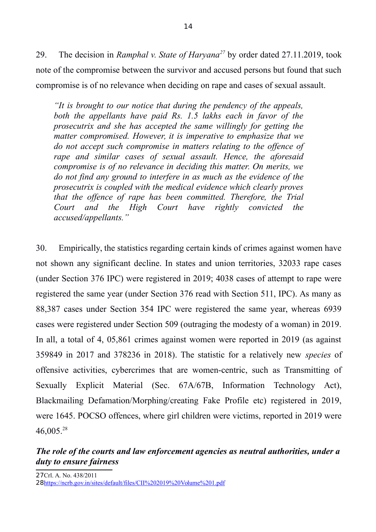29. The decision in *Ramphal v. State of Haryana[27](#page-13-0)* by order dated 27.11.2019, took note of the compromise between the survivor and accused persons but found that such compromise is of no relevance when deciding on rape and cases of sexual assault.

*"It is brought to our notice that during the pendency of the appeals, both the appellants have paid Rs. 1.5 lakhs each in favor of the prosecutrix and she has accepted the same willingly for getting the matter compromised. However, it is imperative to emphasize that we do not accept such compromise in matters relating to the offence of rape and similar cases of sexual assault. Hence, the aforesaid compromise is of no relevance in deciding this matter. On merits, we do not find any ground to interfere in as much as the evidence of the prosecutrix is coupled with the medical evidence which clearly proves that the offence of rape has been committed. Therefore, the Trial Court and the High Court have rightly convicted the accused/appellants."* 

30. Empirically, the statistics regarding certain kinds of crimes against women have not shown any significant decline. In states and union territories, 32033 rape cases (under Section 376 IPC) were registered in 2019; 4038 cases of attempt to rape were registered the same year (under Section 376 read with Section 511, IPC). As many as 88,387 cases under Section 354 IPC were registered the same year, whereas 6939 cases were registered under Section 509 (outraging the modesty of a woman) in 2019. In all, a total of 4, 05,861 crimes against women were reported in 2019 (as against 359849 in 2017 and 378236 in 2018). The statistic for a relatively new *species* of offensive activities, cybercrimes that are women-centric, such as Transmitting of Sexually Explicit Material (Sec. 67A/67B, Information Technology Act), Blackmailing Defamation/Morphing/creating Fake Profile etc) registered in 2019, were 1645. POCSO offences, where girl children were victims, reported in 2019 were 46,005.[28](#page-13-1)

# <span id="page-13-1"></span><span id="page-13-0"></span>*The role of the courts and law enforcement agencies as neutral authorities, under a duty to ensure fairness*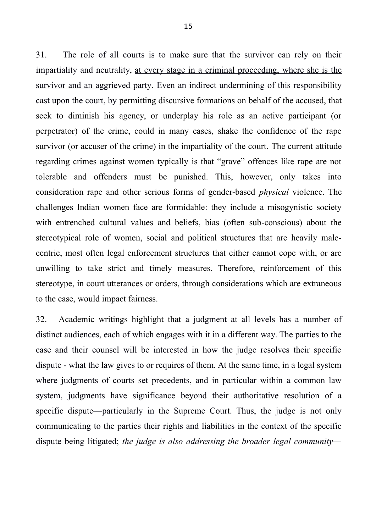31. The role of all courts is to make sure that the survivor can rely on their impartiality and neutrality, at every stage in a criminal proceeding, where she is the survivor and an aggrieved party. Even an indirect undermining of this responsibility cast upon the court, by permitting discursive formations on behalf of the accused, that seek to diminish his agency, or underplay his role as an active participant (or perpetrator) of the crime, could in many cases, shake the confidence of the rape survivor (or accuser of the crime) in the impartiality of the court. The current attitude regarding crimes against women typically is that "grave" offences like rape are not tolerable and offenders must be punished. This, however, only takes into consideration rape and other serious forms of gender-based *physical* violence. The challenges Indian women face are formidable: they include a misogynistic society with entrenched cultural values and beliefs, bias (often sub-conscious) about the stereotypical role of women, social and political structures that are heavily malecentric, most often legal enforcement structures that either cannot cope with, or are unwilling to take strict and timely measures. Therefore, reinforcement of this stereotype, in court utterances or orders, through considerations which are extraneous to the case, would impact fairness.

32. Academic writings highlight that a judgment at all levels has a number of distinct audiences, each of which engages with it in a different way. The parties to the case and their counsel will be interested in how the judge resolves their specific dispute - what the law gives to or requires of them. At the same time, in a legal system where judgments of courts set precedents, and in particular within a common law system, judgments have significance beyond their authoritative resolution of a specific dispute—particularly in the Supreme Court. Thus, the judge is not only communicating to the parties their rights and liabilities in the context of the specific dispute being litigated; *the judge is also addressing the broader legal community—*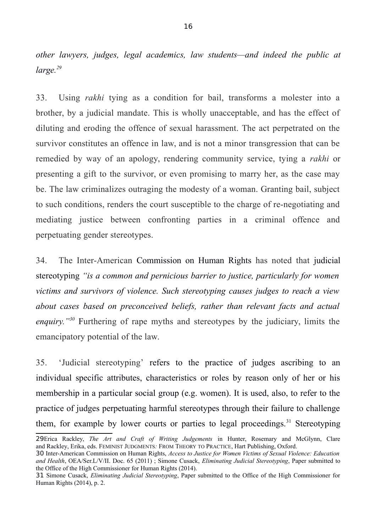*other lawyers, judges, legal academics, law students—and indeed the public at large.[29](#page-15-0)*

33. Using *rakhi* tying as a condition for bail, transforms a molester into a brother, by a judicial mandate. This is wholly unacceptable, and has the effect of diluting and eroding the offence of sexual harassment. The act perpetrated on the survivor constitutes an offence in law, and is not a minor transgression that can be remedied by way of an apology, rendering community service, tying a *rakhi* or presenting a gift to the survivor, or even promising to marry her, as the case may be. The law criminalizes outraging the modesty of a woman. Granting bail, subject to such conditions, renders the court susceptible to the charge of re-negotiating and mediating justice between confronting parties in a criminal offence and perpetuating gender stereotypes.

34. The Inter-American Commission on Human Rights has noted that judicial stereotyping *"is a common and pernicious barrier to justice, particularly for women victims and survivors of violence. Such stereotyping causes judges to reach a view about cases based on preconceived beliefs, rather than relevant facts and actual enquiry."[30](#page-15-1)* Furthering of rape myths and stereotypes by the judiciary, limits the emancipatory potential of the law.

35. 'Judicial stereotyping' refers to the practice of judges ascribing to an individual specific attributes, characteristics or roles by reason only of her or his membership in a particular social group (e.g. women). It is used, also, to refer to the practice of judges perpetuating harmful stereotypes through their failure to challenge them, for example by lower courts or parties to legal proceedings.<sup>[31](#page-15-2)</sup> Stereotyping

<span id="page-15-0"></span><sup>29</sup>Erica Rackley, *The Art and Craft of Writing Judgements* in Hunter, Rosemary and McGlynn, Clare and Rackley, Erika, eds. FEMINIST JUDGMENTS*:* FROM THEORY TO PRACTICE, Hart Publishing, Oxford.

<span id="page-15-1"></span><sup>30</sup> Inter-American Commission on Human Rights, *Access to Justice for Women Victims of Sexual Violence: Education and Health*, OEA/Ser.L/V/II. Doc. 65 (2011) ; Simone Cusack, *Eliminating Judicial Stereotyping*, Paper submitted to the Office of the High Commissioner for Human Rights (2014).

<span id="page-15-2"></span><sup>31</sup> Simone Cusack, *Eliminating Judicial Stereotyping*, Paper submitted to the Office of the High Commissioner for Human Rights (2014), p. 2.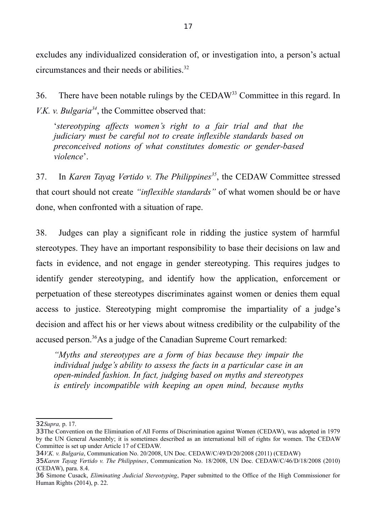excludes any individualized consideration of, or investigation into, a person's actual circumstances and their needs or abilities.<sup>[32](#page-16-0)</sup>

36. There have been notable rulings by the CEDAW[33](#page-16-1) Committee in this regard. In *V.K. v. Bulgaria[34](#page-16-2)*, the Committee observed that:

'*stereotyping affects women's right to a fair trial and that the judiciary must be careful not to create inflexible standards based on preconceived notions of what constitutes domestic or gender-based violence*'.

37. In *Karen Tayag Vertido v. The Philippines[35](#page-16-3)*, the CEDAW Committee stressed that court should not create *"inflexible standards"* of what women should be or have done, when confronted with a situation of rape.

38. Judges can play a significant role in ridding the justice system of harmful stereotypes. They have an important responsibility to base their decisions on law and facts in evidence, and not engage in gender stereotyping. This requires judges to identify gender stereotyping, and identify how the application, enforcement or perpetuation of these stereotypes discriminates against women or denies them equal access to justice. Stereotyping might compromise the impartiality of a judge's decision and affect his or her views about witness credibility or the culpability of the accused person.[36](#page-16-4)As a judge of the Canadian Supreme Court remarked:

*"Myths and stereotypes are a form of bias because they impair the individual judge's ability to assess the facts in a particular case in an open-minded fashion. In fact, judging based on myths and stereotypes is entirely incompatible with keeping an open mind, because myths*

<span id="page-16-0"></span><sup>32</sup>*Supra,* p. 17.

<span id="page-16-1"></span><sup>33</sup>The Convention on the Elimination of All Forms of Discrimination against Women (CEDAW), was adopted in 1979 by the UN General Assembly; it is sometimes described as an international bill of rights for women. The CEDAW Committee is set up under Article 17 of CEDAW.

<span id="page-16-2"></span><sup>34</sup>*V.K. v. Bulgaria*, Communication No. 20/2008, UN Doc. CEDAW/C/49/D/20/2008 (2011) (CEDAW)

<span id="page-16-3"></span><sup>35</sup>*Karen Tayag Vertido v. The Philippines*, Communication No. 18/2008, UN Doc. CEDAW/C/46/D/18/2008 (2010) (CEDAW), para. 8.4.

<span id="page-16-4"></span><sup>36</sup> Simone Cusack, *Eliminating Judicial Stereotyping*, Paper submitted to the Office of the High Commissioner for Human Rights (2014), p. 22.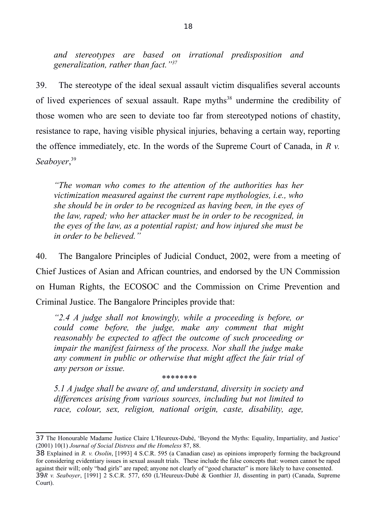*and stereotypes are based on irrational predisposition and generalization, rather than fact."[37](#page-17-0)*

39. The stereotype of the ideal sexual assault victim disqualifies several accounts of lived experiences of sexual assault. Rape myths<sup>[38](#page-17-1)</sup> undermine the credibility of those women who are seen to deviate too far from stereotyped notions of chastity, resistance to rape, having visible physical injuries, behaving a certain way, reporting the offence immediately, etc. In the words of the Supreme Court of Canada, in *R v. Seaboyer*, [39](#page-17-2)

*"The woman who comes to the attention of the authorities has her victimization measured against the current rape mythologies, i.e., who she should be in order to be recognized as having been, in the eyes of the law, raped; who her attacker must be in order to be recognized, in the eyes of the law, as a potential rapist; and how injured she must be in order to be believed."*

40. The Bangalore Principles of Judicial Conduct, 2002, were from a meeting of Chief Justices of Asian and African countries, and endorsed by the UN Commission on Human Rights, the ECOSOC and the Commission on Crime Prevention and Criminal Justice. The Bangalore Principles provide that:

*"2.4 A judge shall not knowingly, while a proceeding is before, or could come before, the judge, make any comment that might reasonably be expected to affect the outcome of such proceeding or impair the manifest fairness of the process. Nor shall the judge make any comment in public or otherwise that might affect the fair trial of any person or issue.*

#### *\*\*\*\*\*\*\*\**

*5.1 A judge shall be aware of, and understand, diversity in society and differences arising from various sources, including but not limited to race, colour, sex, religion, national origin, caste, disability, age,*

<span id="page-17-2"></span>Court).

<span id="page-17-0"></span><sup>37</sup> The Honourable Madame Justice Claire L'Heureux-Dubé, 'Beyond the Myths: Equality, Impartiality, and Justice' (2001) 10(1) *Journal of Social Distress and the Homeless* 87, 88.

<span id="page-17-1"></span><sup>38</sup> Explained in *R. v. Osolin*, [1993] 4 S.C.R. 595 (a Canadian case) as opinions improperly forming the background for considering evidentiary issues in sexual assault trials. These include the false concepts that: women cannot be raped against their will; only "bad girls" are raped; anyone not clearly of "good character" is more likely to have consented. 39*R v. Seaboyer*, [1991] 2 S.C.R. 577, 650 (L'Heureux-Dubé & Gonthier JJ, dissenting in part) (Canada, Supreme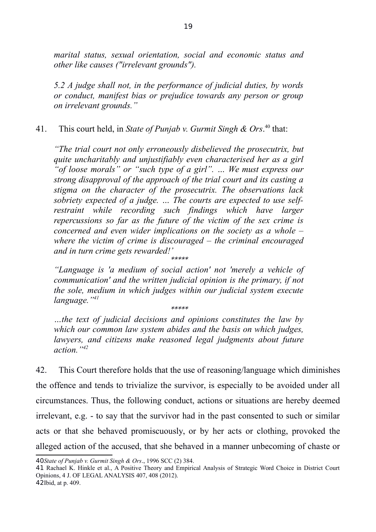*marital status, sexual orientation, social and economic status and other like causes ("irrelevant grounds").*

*5.2 A judge shall not, in the performance of judicial duties, by words or conduct, manifest bias or prejudice towards any person or group on irrelevant grounds."*

41. This court held, in *State of Punjab v. Gurmit Singh & Ors*.<sup>[40](#page-18-0)</sup> that:

*"The trial court not only erroneously disbelieved the prosecutrix, but quite uncharitably and unjustifiably even characterised her as a girl "of loose morals" or "such type of a girl". … We must express our strong disapproval of the approach of the trial court and its casting a stigma on the character of the prosecutrix. The observations lack sobriety expected of a judge. … The courts are expected to use selfrestraint while recording such findings which have larger repercussions so far as the future of the victim of the sex crime is concerned and even wider implications on the society as a whole – where the victim of crime is discouraged – the criminal encouraged and in turn crime gets rewarded!'* \*\*\*\*\*

*"Language is 'a medium of social action' not 'merely a vehicle of communication' and the written judicial opinion is the primary, if not the sole, medium in which judges within our judicial system execute language."[41](#page-18-1)*

\*\*\*\*\*

*…the text of judicial decisions and opinions constitutes the law by which our common law system abides and the basis on which judges, lawyers, and citizens make reasoned legal judgments about future action."[42](#page-18-2)*

42. This Court therefore holds that the use of reasoning/language which diminishes the offence and tends to trivialize the survivor, is especially to be avoided under all circumstances. Thus, the following conduct, actions or situations are hereby deemed irrelevant, e.g. - to say that the survivor had in the past consented to such or similar acts or that she behaved promiscuously, or by her acts or clothing, provoked the alleged action of the accused, that she behaved in a manner unbecoming of chaste or

<span id="page-18-0"></span><sup>40</sup>*State of Punjab v. Gurmit Singh & Ors*., 1996 SCC (2) 384.

<span id="page-18-2"></span><span id="page-18-1"></span><sup>41</sup> Rachael K. Hinkle et al., A Positive Theory and Empirical Analysis of Strategic Word Choice in District Court Opinions, 4 J. OF LEGAL ANALYSIS 407, 408 (2012). 42Ibid, at p. 409.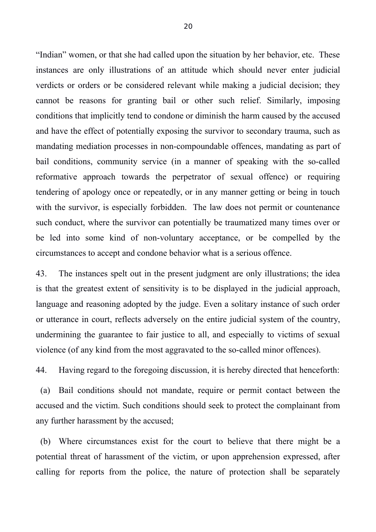"Indian" women, or that she had called upon the situation by her behavior, etc. These instances are only illustrations of an attitude which should never enter judicial verdicts or orders or be considered relevant while making a judicial decision; they cannot be reasons for granting bail or other such relief. Similarly, imposing conditions that implicitly tend to condone or diminish the harm caused by the accused and have the effect of potentially exposing the survivor to secondary trauma, such as mandating mediation processes in non-compoundable offences, mandating as part of bail conditions, community service (in a manner of speaking with the so-called reformative approach towards the perpetrator of sexual offence) or requiring tendering of apology once or repeatedly, or in any manner getting or being in touch with the survivor, is especially forbidden. The law does not permit or countenance such conduct, where the survivor can potentially be traumatized many times over or be led into some kind of non-voluntary acceptance, or be compelled by the circumstances to accept and condone behavior what is a serious offence.

43. The instances spelt out in the present judgment are only illustrations; the idea is that the greatest extent of sensitivity is to be displayed in the judicial approach, language and reasoning adopted by the judge. Even a solitary instance of such order or utterance in court, reflects adversely on the entire judicial system of the country, undermining the guarantee to fair justice to all, and especially to victims of sexual violence (of any kind from the most aggravated to the so-called minor offences).

44. Having regard to the foregoing discussion, it is hereby directed that henceforth:

(a) Bail conditions should not mandate, require or permit contact between the accused and the victim. Such conditions should seek to protect the complainant from any further harassment by the accused;

(b) Where circumstances exist for the court to believe that there might be a potential threat of harassment of the victim, or upon apprehension expressed, after calling for reports from the police, the nature of protection shall be separately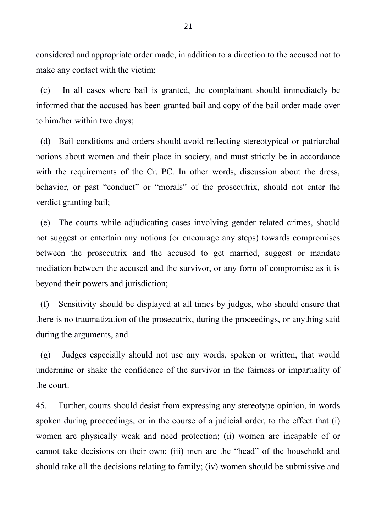considered and appropriate order made, in addition to a direction to the accused not to make any contact with the victim;

(c) In all cases where bail is granted, the complainant should immediately be informed that the accused has been granted bail and copy of the bail order made over to him/her within two days;

(d) Bail conditions and orders should avoid reflecting stereotypical or patriarchal notions about women and their place in society, and must strictly be in accordance with the requirements of the Cr. PC. In other words, discussion about the dress, behavior, or past "conduct" or "morals" of the prosecutrix, should not enter the verdict granting bail;

(e) The courts while adjudicating cases involving gender related crimes, should not suggest or entertain any notions (or encourage any steps) towards compromises between the prosecutrix and the accused to get married, suggest or mandate mediation between the accused and the survivor, or any form of compromise as it is beyond their powers and jurisdiction;

(f) Sensitivity should be displayed at all times by judges, who should ensure that there is no traumatization of the prosecutrix, during the proceedings, or anything said during the arguments, and

(g) Judges especially should not use any words, spoken or written, that would undermine or shake the confidence of the survivor in the fairness or impartiality of the court.

45. Further, courts should desist from expressing any stereotype opinion, in words spoken during proceedings, or in the course of a judicial order, to the effect that (i) women are physically weak and need protection; (ii) women are incapable of or cannot take decisions on their own; (iii) men are the "head" of the household and should take all the decisions relating to family; (iv) women should be submissive and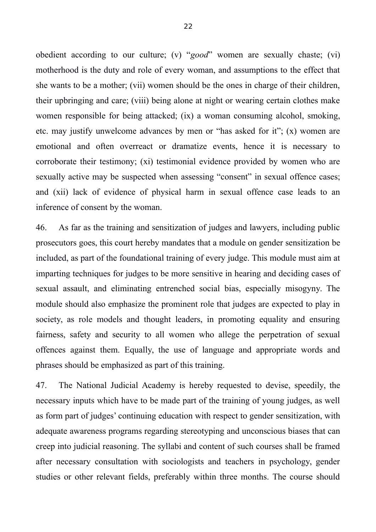obedient according to our culture; (v) "*good*" women are sexually chaste; (vi) motherhood is the duty and role of every woman, and assumptions to the effect that she wants to be a mother; (vii) women should be the ones in charge of their children, their upbringing and care; (viii) being alone at night or wearing certain clothes make women responsible for being attacked; (ix) a woman consuming alcohol, smoking, etc. may justify unwelcome advances by men or "has asked for it"; (x) women are emotional and often overreact or dramatize events, hence it is necessary to corroborate their testimony; (xi) testimonial evidence provided by women who are sexually active may be suspected when assessing "consent" in sexual offence cases; and (xii) lack of evidence of physical harm in sexual offence case leads to an inference of consent by the woman.

46. As far as the training and sensitization of judges and lawyers, including public prosecutors goes, this court hereby mandates that a module on gender sensitization be included, as part of the foundational training of every judge. This module must aim at imparting techniques for judges to be more sensitive in hearing and deciding cases of sexual assault, and eliminating entrenched social bias, especially misogyny. The module should also emphasize the prominent role that judges are expected to play in society, as role models and thought leaders, in promoting equality and ensuring fairness, safety and security to all women who allege the perpetration of sexual offences against them. Equally, the use of language and appropriate words and phrases should be emphasized as part of this training.

47. The National Judicial Academy is hereby requested to devise, speedily, the necessary inputs which have to be made part of the training of young judges, as well as form part of judges' continuing education with respect to gender sensitization, with adequate awareness programs regarding stereotyping and unconscious biases that can creep into judicial reasoning. The syllabi and content of such courses shall be framed after necessary consultation with sociologists and teachers in psychology, gender studies or other relevant fields, preferably within three months. The course should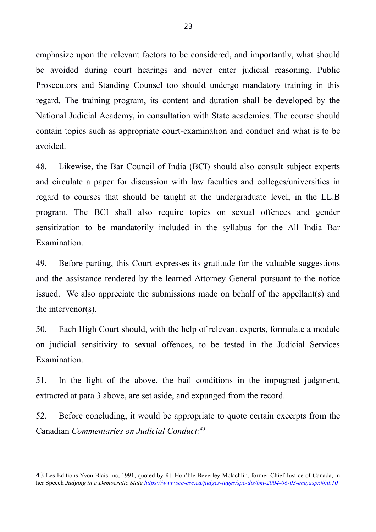emphasize upon the relevant factors to be considered, and importantly, what should be avoided during court hearings and never enter judicial reasoning. Public Prosecutors and Standing Counsel too should undergo mandatory training in this regard. The training program, its content and duration shall be developed by the National Judicial Academy, in consultation with State academies. The course should contain topics such as appropriate court-examination and conduct and what is to be avoided.

48. Likewise, the Bar Council of India (BCI) should also consult subject experts and circulate a paper for discussion with law faculties and colleges/universities in regard to courses that should be taught at the undergraduate level, in the LL.B program. The BCI shall also require topics on sexual offences and gender sensitization to be mandatorily included in the syllabus for the All India Bar Examination.

49. Before parting, this Court expresses its gratitude for the valuable suggestions and the assistance rendered by the learned Attorney General pursuant to the notice issued. We also appreciate the submissions made on behalf of the appellant(s) and the intervenor(s).

50. Each High Court should, with the help of relevant experts, formulate a module on judicial sensitivity to sexual offences, to be tested in the Judicial Services Examination.

51. In the light of the above, the bail conditions in the impugned judgment, extracted at para 3 above, are set aside, and expunged from the record.

52. Before concluding, it would be appropriate to quote certain excerpts from the Canadian *Commentaries on Judicial Conduct:[43](#page-22-0)*

<span id="page-22-0"></span><sup>43</sup> Les Éditions Yvon Blais Inc, 1991, quoted by Rt. Hon'ble Beverley Mclachlin, former Chief Justice of Canada, in her Speech *Judging in a Democratic State<https://www.scc-csc.ca/judges-juges/spe-dis/bm-2004-06-03-eng.aspx#fnb10>*